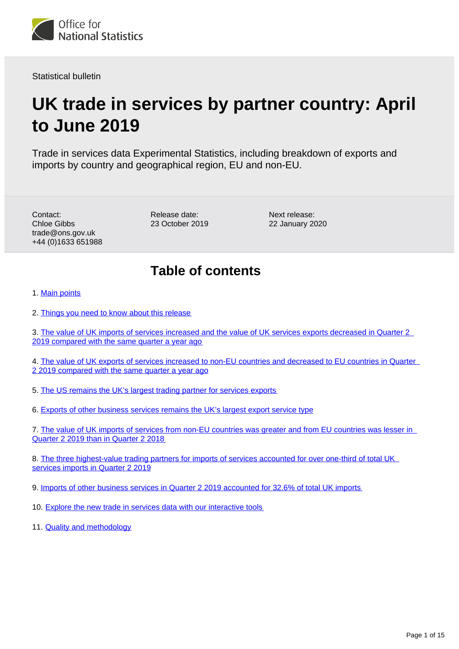<span id="page-0-0"></span>

Statistical bulletin

# **UK trade in services by partner country: April to June 2019**

Trade in services data Experimental Statistics, including breakdown of exports and imports by country and geographical region, EU and non-EU.

Contact: Chloe Gibbs trade@ons.gov.uk +44 (0)1633 651988 Release date: 23 October 2019 Next release: 22 January 2020

## **Table of contents**

1. [Main points](#page-1-0)

2. [Things you need to know about this release](#page-1-1)

3. [The value of UK imports of services increased and the value of UK services exports decreased in Quarter 2](#page-2-0)  [2019 compared with the same quarter a year ago](#page-2-0)

4. [The value of UK exports of services increased to non-EU countries and decreased to EU countries in Quarter](#page-3-0)  [2 2019 compared with the same quarter a year ago](#page-3-0)

- 5. [The US remains the UK's largest trading partner for services exports](#page-4-0)
- 6. [Exports of other business services remains the UK's largest export service type](#page-5-0)

7. [The value of UK imports of services from non-EU countries was greater and from EU countries was lesser in](#page-8-0)  [Quarter 2 2019 than in Quarter 2 2018](#page-8-0)

8. [The three highest-value trading partners for imports of services accounted for over one-third of total UK](#page-9-0)  [services imports in Quarter 2 2019](#page-9-0)

9. [Imports of other business services in Quarter 2 2019 accounted for 32.6% of total UK imports](#page-10-0)

- 10. [Explore the new trade in services data with our interactive tools](#page-12-0)
- 11. [Quality and methodology](#page-13-0)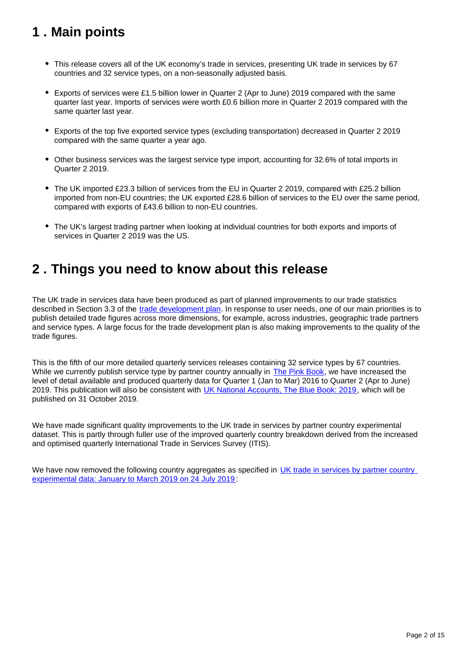## <span id="page-1-0"></span>**1 . Main points**

- This release covers all of the UK economy's trade in services, presenting UK trade in services by 67 countries and 32 service types, on a non-seasonally adjusted basis.
- Exports of services were £1.5 billion lower in Quarter 2 (Apr to June) 2019 compared with the same quarter last year. Imports of services were worth £0.6 billion more in Quarter 2 2019 compared with the same quarter last year.
- Exports of the top five exported service types (excluding transportation) decreased in Quarter 2 2019 compared with the same quarter a year ago.
- Other business services was the largest service type import, accounting for 32.6% of total imports in Quarter 2 2019.
- The UK imported £23.3 billion of services from the EU in Quarter 2 2019, compared with £25.2 billion imported from non-EU countries; the UK exported £28.6 billion of services to the EU over the same period, compared with exports of £43.6 billion to non-EU countries.
- The UK's largest trading partner when looking at individual countries for both exports and imports of services in Quarter 2 2019 was the US.

## <span id="page-1-1"></span>**2 . Things you need to know about this release**

The UK trade in services data have been produced as part of planned improvements to our trade statistics described in Section 3.3 of the [trade development plan.](https://www.ons.gov.uk/economy/nationalaccounts/balanceofpayments/articles/uktradedevelopmentplan/2017) In response to user needs, one of our main priorities is to publish detailed trade figures across more dimensions, for example, across industries, geographic trade partners and service types. A large focus for the trade development plan is also making improvements to the quality of the trade figures.

This is the fifth of our more detailed quarterly services releases containing 32 service types by 67 countries. While we currently publish service type by partner country annually in [The Pink Book,](https://www.ons.gov.uk/economy/nationalaccounts/balanceofpayments/bulletins/unitedkingdombalanceofpaymentsthepinkbook/2018) we have increased the level of detail available and produced quarterly data for Quarter 1 (Jan to Mar) 2016 to Quarter 2 (Apr to June) 2019. This publication will also be consistent with [UK National Accounts, The Blue Book: 2019](https://www.ons.gov.uk/releases/uknationalaccountsthebluebook2019), which will be published on 31 October 2019.

We have made significant quality improvements to the UK trade in services by partner country experimental dataset. This is partly through fuller use of the improved quarterly country breakdown derived from the increased and optimised quarterly International Trade in Services Survey (ITIS).

We have now removed the following country aggregates as specified in UK trade in services by partner country [experimental data: January to March 2019 on 24 July 2019](https://www.ons.gov.uk/businessindustryandtrade/internationaltrade/bulletins/exportsandimportsstatisticsbycountryforuktradeinservices/januarytomarch2019) :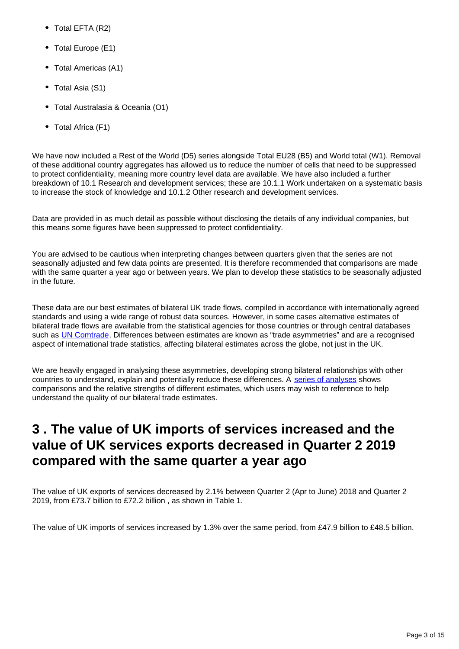- Total EFTA (R2)
- Total Europe (E1)
- Total Americas (A1)
- Total Asia (S1)
- Total Australasia & Oceania (O1)
- Total Africa (F1)

We have now included a Rest of the World (D5) series alongside Total EU28 (B5) and World total (W1). Removal of these additional country aggregates has allowed us to reduce the number of cells that need to be suppressed to protect confidentiality, meaning more country level data are available. We have also included a further breakdown of 10.1 Research and development services; these are 10.1.1 Work undertaken on a systematic basis to increase the stock of knowledge and 10.1.2 Other research and development services.

Data are provided in as much detail as possible without disclosing the details of any individual companies, but this means some figures have been suppressed to protect confidentiality.

You are advised to be cautious when interpreting changes between quarters given that the series are not seasonally adjusted and few data points are presented. It is therefore recommended that comparisons are made with the same quarter a year ago or between years. We plan to develop these statistics to be seasonally adjusted in the future.

These data are our best estimates of bilateral UK trade flows, compiled in accordance with internationally agreed standards and using a wide range of robust data sources. However, in some cases alternative estimates of bilateral trade flows are available from the statistical agencies for those countries or through central databases such as [UN Comtrade.](https://comtrade.un.org/) Differences between estimates are known as "trade asymmetries" and are a recognised aspect of international trade statistics, affecting bilateral estimates across the globe, not just in the UK.

We are heavily engaged in analysing these asymmetries, developing strong bilateral relationships with other countries to understand, explain and potentially reduce these differences. A [series of analyses](https://www.ons.gov.uk/economy/nationalaccounts/balanceofpayments/articles/asymmetriesintradedatadivingdeeperintoukbilateraltradedata/extendinganalysisofukbilateraltradedata) shows comparisons and the relative strengths of different estimates, which users may wish to reference to help understand the quality of our bilateral trade estimates.

## <span id="page-2-0"></span>**3 . The value of UK imports of services increased and the value of UK services exports decreased in Quarter 2 2019 compared with the same quarter a year ago**

The value of UK exports of services decreased by 2.1% between Quarter 2 (Apr to June) 2018 and Quarter 2 2019, from £73.7 billion to £72.2 billion , as shown in Table 1.

The value of UK imports of services increased by 1.3% over the same period, from £47.9 billion to £48.5 billion.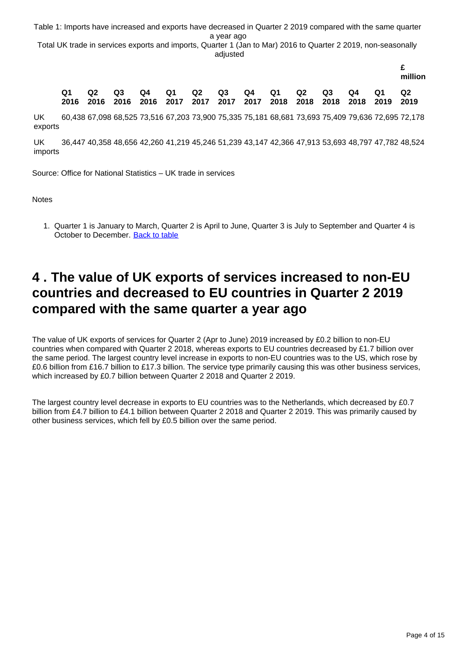Table 1: Imports have increased and exports have decreased in Quarter 2 2019 compared with the same quarter a year ago

Total UK trade in services exports and imports, Quarter 1 (Jan to Mar) 2016 to Quarter 2 2019, non-seasonally adjusted

|  |    |       |  |                                                                                                    |  |       |      |      | million        |
|--|----|-------|--|----------------------------------------------------------------------------------------------------|--|-------|------|------|----------------|
|  | Q2 | Q3 Q4 |  | Q1 Q2 Q3 Q4 Q1<br>2016 2016 2016 2016 2017 2017 2017 2017 2018 2018 2018 2018 2019 2019            |  | Q2 Q3 | Q4 O | - O1 | O <sub>2</sub> |
|  |    |       |  | LO 100 CZ 000 CO EGE ZO E1C CZ 000 ZO 000 ZE 00E ZE 101 CO CO1 ZO CO0 ZE 100 ZO COC ZO COE ZO 170. |  |       |      |      |                |

UK exports 60,438 67,098 68,525 73,516 67,203 73,900 75,335 75,181 68,681 73,693 75,409 79,636 72,695 72,178

UK imports 36,447 40,358 48,656 42,260 41,219 45,246 51,239 43,147 42,366 47,913 53,693 48,797 47,782 48,524

Source: Office for National Statistics – UK trade in services

**Notes** 

1. Quarter 1 is January to March, Quarter 2 is April to June, Quarter 3 is July to September and Quarter 4 is October to December. [Back to table](#page-0-0)

## <span id="page-3-0"></span>**4 . The value of UK exports of services increased to non-EU countries and decreased to EU countries in Quarter 2 2019 compared with the same quarter a year ago**

The value of UK exports of services for Quarter 2 (Apr to June) 2019 increased by £0.2 billion to non-EU countries when compared with Quarter 2 2018, whereas exports to EU countries decreased by £1.7 billion over the same period. The largest country level increase in exports to non-EU countries was to the US, which rose by £0.6 billion from £16.7 billion to £17.3 billion. The service type primarily causing this was other business services, which increased by £0.7 billion between Quarter 2 2018 and Quarter 2 2019.

The largest country level decrease in exports to EU countries was to the Netherlands, which decreased by £0.7 billion from £4.7 billion to £4.1 billion between Quarter 2 2018 and Quarter 2 2019. This was primarily caused by other business services, which fell by £0.5 billion over the same period.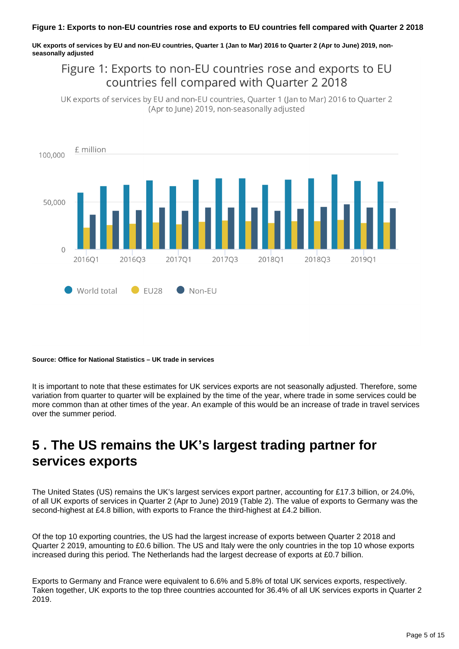**UK exports of services by EU and non-EU countries, Quarter 1 (Jan to Mar) 2016 to Quarter 2 (Apr to June) 2019, nonseasonally adjusted**

### Figure 1: Exports to non-EU countries rose and exports to EU countries fell compared with Ouarter 2 2018

UK exports of services by EU and non-EU countries, Quarter 1 (Jan to Mar) 2016 to Quarter 2 (Apr to lune) 2019, non-seasonally adjusted



#### **Source: Office for National Statistics – UK trade in services**

It is important to note that these estimates for UK services exports are not seasonally adjusted. Therefore, some variation from quarter to quarter will be explained by the time of the year, where trade in some services could be more common than at other times of the year. An example of this would be an increase of trade in travel services over the summer period.

## <span id="page-4-0"></span>**5 . The US remains the UK's largest trading partner for services exports**

The United States (US) remains the UK's largest services export partner, accounting for £17.3 billion, or 24.0%, of all UK exports of services in Quarter 2 (Apr to June) 2019 (Table 2). The value of exports to Germany was the second-highest at £4.8 billion, with exports to France the third-highest at £4.2 billion.

Of the top 10 exporting countries, the US had the largest increase of exports between Quarter 2 2018 and Quarter 2 2019, amounting to £0.6 billion. The US and Italy were the only countries in the top 10 whose exports increased during this period. The Netherlands had the largest decrease of exports at £0.7 billion.

Exports to Germany and France were equivalent to 6.6% and 5.8% of total UK services exports, respectively. Taken together, UK exports to the top three countries accounted for 36.4% of all UK services exports in Quarter 2 2019.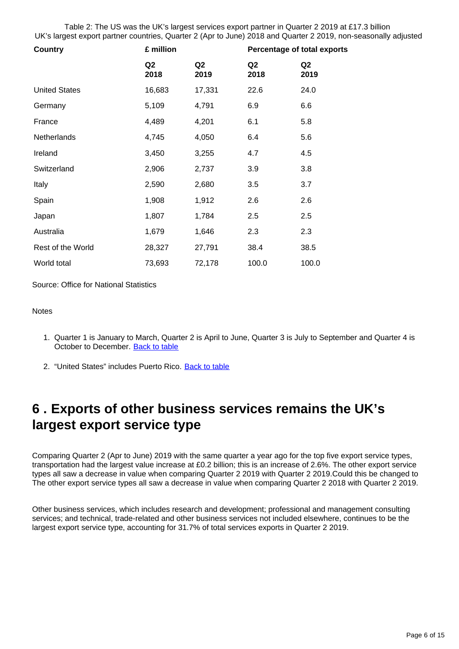Table 2: The US was the UK's largest services export partner in Quarter 2 2019 at £17.3 billion UK's largest export partner countries, Quarter 2 (Apr to June) 2018 and Quarter 2 2019, non-seasonally adjusted

| <b>Country</b>       | £ million  |            | <b>Percentage of total exports</b> |            |  |
|----------------------|------------|------------|------------------------------------|------------|--|
|                      | Q2<br>2018 | Q2<br>2019 | Q <sub>2</sub><br>2018             | Q2<br>2019 |  |
| <b>United States</b> | 16,683     | 17,331     | 22.6                               | 24.0       |  |
| Germany              | 5,109      | 4,791      | 6.9                                | 6.6        |  |
| France               | 4,489      | 4,201      | 6.1                                | 5.8        |  |
| <b>Netherlands</b>   | 4,745      | 4,050      | 6.4                                | 5.6        |  |
| Ireland              | 3,450      | 3,255      | 4.7                                | 4.5        |  |
| Switzerland          | 2,906      | 2,737      | 3.9                                | 3.8        |  |
| Italy                | 2,590      | 2,680      | 3.5                                | 3.7        |  |
| Spain                | 1,908      | 1,912      | 2.6                                | 2.6        |  |
| Japan                | 1,807      | 1,784      | 2.5                                | 2.5        |  |
| Australia            | 1,679      | 1,646      | 2.3                                | 2.3        |  |
| Rest of the World    | 28,327     | 27,791     | 38.4                               | 38.5       |  |
| World total          | 73,693     | 72,178     | 100.0                              | 100.0      |  |

Source: Office for National Statistics

#### **Notes**

- 1. Quarter 1 is January to March, Quarter 2 is April to June, Quarter 3 is July to September and Quarter 4 is October to December. [Back to table](#page-0-0)
- 2. "United States" includes Puerto Rico. <u>[Back to table](#page-0-0)</u>

## <span id="page-5-0"></span>**6 . Exports of other business services remains the UK's largest export service type**

Comparing Quarter 2 (Apr to June) 2019 with the same quarter a year ago for the top five export service types, transportation had the largest value increase at £0.2 billion; this is an increase of 2.6%. The other export service types all saw a decrease in value when comparing Quarter 2 2019 with Quarter 2 2019.Could this be changed to The other export service types all saw a decrease in value when comparing Quarter 2 2018 with Quarter 2 2019.

Other business services, which includes research and development; professional and management consulting services; and technical, trade-related and other business services not included elsewhere, continues to be the largest export service type, accounting for 31.7% of total services exports in Quarter 2 2019.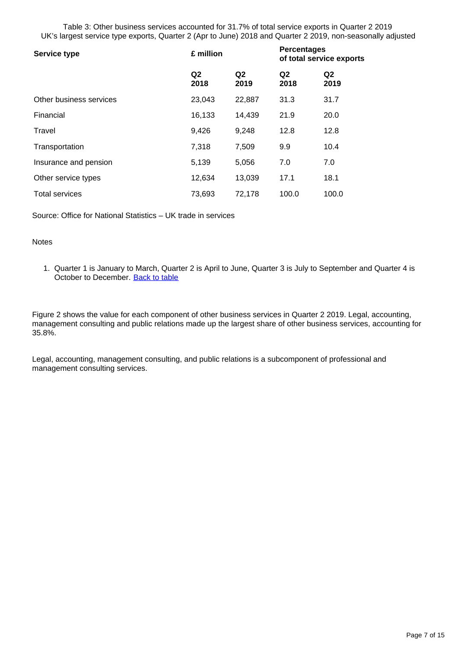Table 3: Other business services accounted for 31.7% of total service exports in Quarter 2 2019 UK's largest service type exports, Quarter 2 (Apr to June) 2018 and Quarter 2 2019, non-seasonally adjusted

| <b>Service type</b>     | £ million              |                        | <b>Percentages</b><br>of total service exports |                        |  |
|-------------------------|------------------------|------------------------|------------------------------------------------|------------------------|--|
|                         | Q <sub>2</sub><br>2018 | Q <sub>2</sub><br>2019 | Q <sub>2</sub><br>2018                         | Q <sub>2</sub><br>2019 |  |
| Other business services | 23,043                 | 22,887                 | 31.3                                           | 31.7                   |  |
| Financial               | 16,133                 | 14,439                 | 21.9                                           | 20.0                   |  |
| Travel                  | 9,426                  | 9,248                  | 12.8                                           | 12.8                   |  |
| Transportation          | 7,318                  | 7,509                  | 9.9                                            | 10.4                   |  |
| Insurance and pension   | 5,139                  | 5,056                  | 7.0                                            | 7.0                    |  |
| Other service types     | 12,634                 | 13,039                 | 17.1                                           | 18.1                   |  |
| <b>Total services</b>   | 73,693                 | 72,178                 | 100.0                                          | 100.0                  |  |

Source: Office for National Statistics – UK trade in services

#### Notes

1. Quarter 1 is January to March, Quarter 2 is April to June, Quarter 3 is July to September and Quarter 4 is October to December. [Back to table](#page-0-0)

Figure 2 shows the value for each component of other business services in Quarter 2 2019. Legal, accounting, management consulting and public relations made up the largest share of other business services, accounting for 35.8%.

Legal, accounting, management consulting, and public relations is a subcomponent of professional and management consulting services.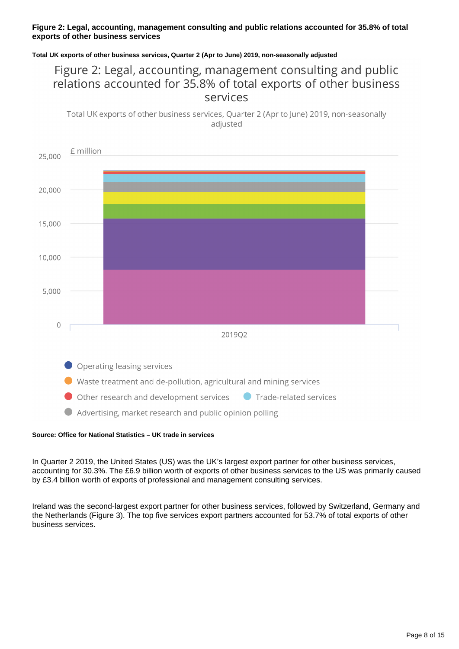#### **Figure 2: Legal, accounting, management consulting and public relations accounted for 35.8% of total exports of other business services**

#### **Total UK exports of other business services, Quarter 2 (Apr to June) 2019, non-seasonally adjusted**

### Figure 2: Legal, accounting, management consulting and public relations accounted for 35.8% of total exports of other business services

Total UK exports of other business services, Quarter 2 (Apr to June) 2019, non-seasonally adjusted



#### **Source: Office for National Statistics – UK trade in services**

In Quarter 2 2019, the United States (US) was the UK's largest export partner for other business services, accounting for 30.3%. The £6.9 billion worth of exports of other business services to the US was primarily caused by £3.4 billion worth of exports of professional and management consulting services.

Ireland was the second-largest export partner for other business services, followed by Switzerland, Germany and the Netherlands (Figure 3). The top five services export partners accounted for 53.7% of total exports of other business services.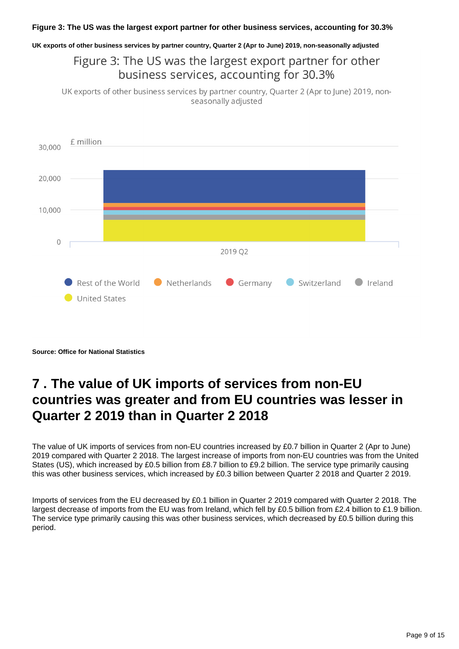**UK exports of other business services by partner country, Quarter 2 (Apr to June) 2019, non-seasonally adjusted**

Figure 3: The US was the largest export partner for other business services, accounting for 30.3%

UK exports of other business services by partner country, Quarter 2 (Apr to June) 2019, nonseasonally adjusted



**Source: Office for National Statistics**

## <span id="page-8-0"></span>**7 . The value of UK imports of services from non-EU countries was greater and from EU countries was lesser in Quarter 2 2019 than in Quarter 2 2018**

The value of UK imports of services from non-EU countries increased by £0.7 billion in Quarter 2 (Apr to June) 2019 compared with Quarter 2 2018. The largest increase of imports from non-EU countries was from the United States (US), which increased by £0.5 billion from £8.7 billion to £9.2 billion. The service type primarily causing this was other business services, which increased by £0.3 billion between Quarter 2 2018 and Quarter 2 2019.

Imports of services from the EU decreased by £0.1 billion in Quarter 2 2019 compared with Quarter 2 2018. The largest decrease of imports from the EU was from Ireland, which fell by £0.5 billion from £2.4 billion to £1.9 billion. The service type primarily causing this was other business services, which decreased by £0.5 billion during this period.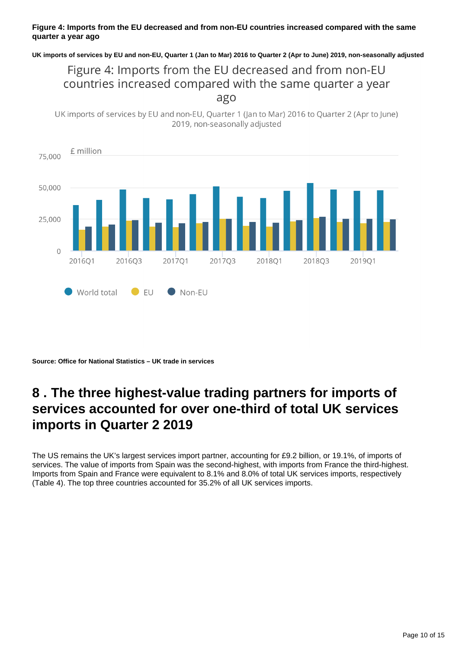#### **Figure 4: Imports from the EU decreased and from non-EU countries increased compared with the same quarter a year ago**

**UK imports of services by EU and non-EU, Quarter 1 (Jan to Mar) 2016 to Quarter 2 (Apr to June) 2019, non-seasonally adjusted**

### Figure 4: Imports from the EU decreased and from non-EU countries increased compared with the same quarter a year ago

UK imports of services by EU and non-EU, Quarter 1 (Jan to Mar) 2016 to Quarter 2 (Apr to June) 2019, non-seasonally adjusted



**Source: Office for National Statistics – UK trade in services**

## <span id="page-9-0"></span>**8 . The three highest-value trading partners for imports of services accounted for over one-third of total UK services imports in Quarter 2 2019**

The US remains the UK's largest services import partner, accounting for £9.2 billion, or 19.1%, of imports of services. The value of imports from Spain was the second-highest, with imports from France the third-highest. Imports from Spain and France were equivalent to 8.1% and 8.0% of total UK services imports, respectively (Table 4). The top three countries accounted for 35.2% of all UK services imports.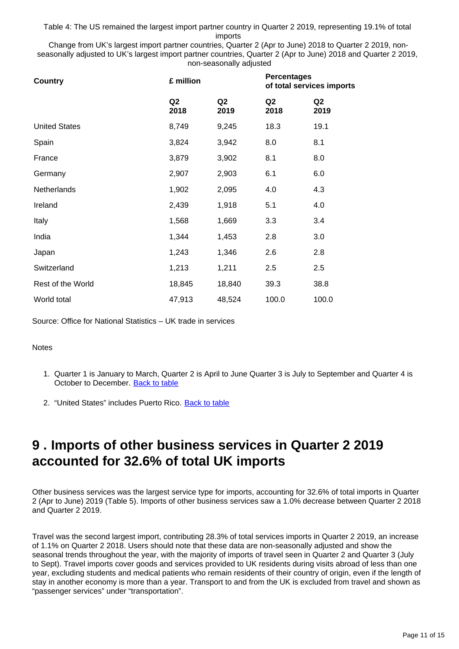Table 4: The US remained the largest import partner country in Quarter 2 2019, representing 19.1% of total imports

Change from UK's largest import partner countries, Quarter 2 (Apr to June) 2018 to Quarter 2 2019, nonseasonally adjusted to UK's largest import partner countries, Quarter 2 (Apr to June) 2018 and Quarter 2 2019, non-seasonally adjusted

| <b>Country</b>       | £ million              |            | <b>Percentages</b><br>of total services imports |                        |  |
|----------------------|------------------------|------------|-------------------------------------------------|------------------------|--|
|                      | Q <sub>2</sub><br>2018 | Q2<br>2019 | Q <sub>2</sub><br>2018                          | Q <sub>2</sub><br>2019 |  |
| <b>United States</b> | 8,749                  | 9,245      | 18.3                                            | 19.1                   |  |
| Spain                | 3,824                  | 3,942      | 8.0                                             | 8.1                    |  |
| France               | 3,879                  | 3,902      | 8.1                                             | 8.0                    |  |
| Germany              | 2,907                  | 2,903      | 6.1                                             | 6.0                    |  |
| Netherlands          | 1,902                  | 2,095      | 4.0                                             | 4.3                    |  |
| Ireland              | 2,439                  | 1,918      | 5.1                                             | 4.0                    |  |
| Italy                | 1,568                  | 1,669      | 3.3                                             | 3.4                    |  |
| India                | 1,344                  | 1,453      | 2.8                                             | 3.0                    |  |
| Japan                | 1,243                  | 1,346      | 2.6                                             | 2.8                    |  |
| Switzerland          | 1,213                  | 1,211      | 2.5                                             | 2.5                    |  |
| Rest of the World    | 18,845                 | 18,840     | 39.3                                            | 38.8                   |  |
| World total          | 47,913                 | 48,524     | 100.0                                           | 100.0                  |  |

Source: Office for National Statistics – UK trade in services

**Notes** 

- 1. Quarter 1 is January to March, Quarter 2 is April to June Quarter 3 is July to September and Quarter 4 is October to December. [Back to table](#page-0-0)
- 2. "United States" includes Puerto Rico. <u>[Back to table](#page-0-0)</u>

### <span id="page-10-0"></span>**9 . Imports of other business services in Quarter 2 2019 accounted for 32.6% of total UK imports**

Other business services was the largest service type for imports, accounting for 32.6% of total imports in Quarter 2 (Apr to June) 2019 (Table 5). Imports of other business services saw a 1.0% decrease between Quarter 2 2018 and Quarter 2 2019.

Travel was the second largest import, contributing 28.3% of total services imports in Quarter 2 2019, an increase of 1.1% on Quarter 2 2018. Users should note that these data are non-seasonally adjusted and show the seasonal trends throughout the year, with the majority of imports of travel seen in Quarter 2 and Quarter 3 (July to Sept). Travel imports cover goods and services provided to UK residents during visits abroad of less than one year, excluding students and medical patients who remain residents of their country of origin, even if the length of stay in another economy is more than a year. Transport to and from the UK is excluded from travel and shown as "passenger services" under "transportation".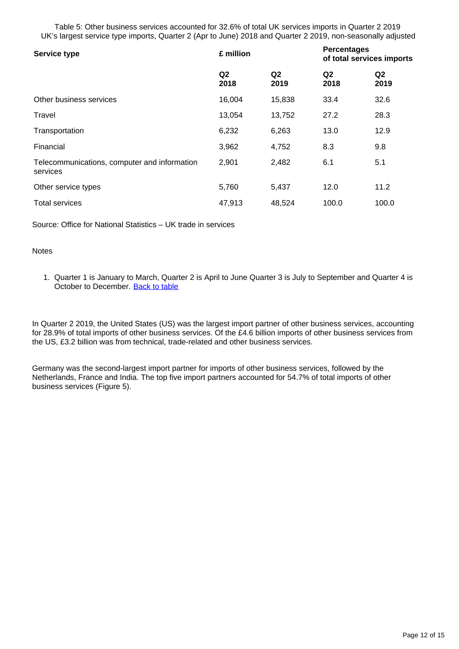Table 5: Other business services accounted for 32.6% of total UK services imports in Quarter 2 2019 UK's largest service type imports, Quarter 2 (Apr to June) 2018 and Quarter 2 2019, non-seasonally adjusted

| <b>Service type</b>                                      | £ million              |                        | <b>Percentages</b><br>of total services imports |                        |  |
|----------------------------------------------------------|------------------------|------------------------|-------------------------------------------------|------------------------|--|
|                                                          | Q <sub>2</sub><br>2018 | Q <sub>2</sub><br>2019 | Q <sub>2</sub><br>2018                          | Q <sub>2</sub><br>2019 |  |
| Other business services                                  | 16,004                 | 15,838                 | 33.4                                            | 32.6                   |  |
| Travel                                                   | 13,054                 | 13,752                 | 27.2                                            | 28.3                   |  |
| Transportation                                           | 6,232                  | 6,263                  | 13.0                                            | 12.9                   |  |
| Financial                                                | 3,962                  | 4,752                  | 8.3                                             | 9.8                    |  |
| Telecommunications, computer and information<br>services | 2,901                  | 2,482                  | 6.1                                             | 5.1                    |  |
| Other service types                                      | 5,760                  | 5,437                  | 12.0                                            | 11.2                   |  |
| <b>Total services</b>                                    | 47,913                 | 48,524                 | 100.0                                           | 100.0                  |  |

Source: Office for National Statistics – UK trade in services

#### **Notes**

1. Quarter 1 is January to March, Quarter 2 is April to June Quarter 3 is July to September and Quarter 4 is October to December. [Back to table](#page-0-0)

In Quarter 2 2019, the United States (US) was the largest import partner of other business services, accounting for 28.9% of total imports of other business services. Of the £4.6 billion imports of other business services from the US, £3.2 billion was from technical, trade-related and other business services.

Germany was the second-largest import partner for imports of other business services, followed by the Netherlands, France and India. The top five import partners accounted for 54.7% of total imports of other business services (Figure 5).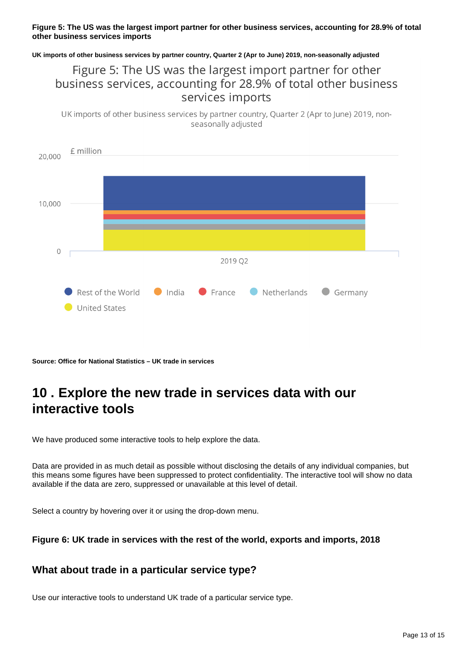#### **Figure 5: The US was the largest import partner for other business services, accounting for 28.9% of total other business services imports**

**UK imports of other business services by partner country, Quarter 2 (Apr to June) 2019, non-seasonally adjusted**

### Figure 5: The US was the largest import partner for other business services, accounting for 28.9% of total other business services imports

UK imports of other business services by partner country, Quarter 2 (Apr to June) 2019, nonseasonally adjusted



**Source: Office for National Statistics – UK trade in services**

## <span id="page-12-0"></span>**10 . Explore the new trade in services data with our interactive tools**

We have produced some interactive tools to help explore the data.

Data are provided in as much detail as possible without disclosing the details of any individual companies, but this means some figures have been suppressed to protect confidentiality. The interactive tool will show no data available if the data are zero, suppressed or unavailable at this level of detail.

Select a country by hovering over it or using the drop-down menu.

**Figure 6: UK trade in services with the rest of the world, exports and imports, 2018**

### **What about trade in a particular service type?**

Use our interactive tools to understand UK trade of a particular service type.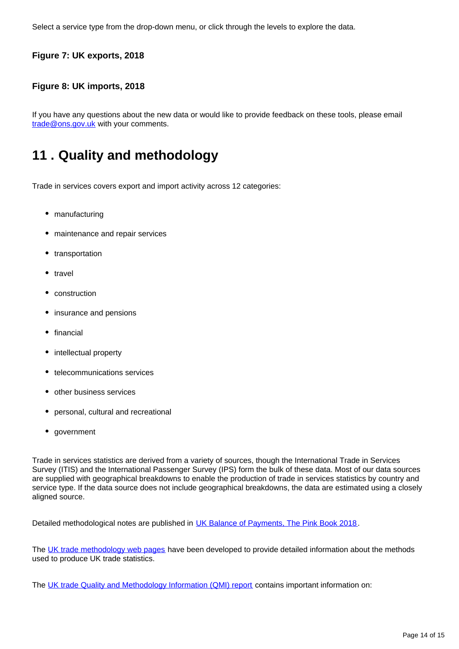Select a service type from the drop-down menu, or click through the levels to explore the data.

### **Figure 7: UK exports, 2018**

#### **Figure 8: UK imports, 2018**

If you have any questions about the new data or would like to provide feedback on these tools, please email trade@ons.gov.uk with your comments.

## <span id="page-13-0"></span>**11 . Quality and methodology**

Trade in services covers export and import activity across 12 categories:

- manufacturing
- maintenance and repair services
- transportation
- travel
- construction
- insurance and pensions
- financial
- intellectual property
- telecommunications services
- other business services
- personal, cultural and recreational
- government

Trade in services statistics are derived from a variety of sources, though the International Trade in Services Survey (ITIS) and the International Passenger Survey (IPS) form the bulk of these data. Most of our data sources are supplied with geographical breakdowns to enable the production of trade in services statistics by country and service type. If the data source does not include geographical breakdowns, the data are estimated using a closely aligned source.

Detailed methodological notes are published in [UK Balance of Payments, The Pink Book 2018](https://www.ons.gov.uk/economy/nationalaccounts/balanceofpayments/bulletins/unitedkingdombalanceofpaymentsthepinkbook/2018).

The [UK trade methodology web pages](http://www.ons.gov.uk/economy/nationalaccounts/balanceofpayments/methodologies/uktrade) have been developed to provide detailed information about the methods used to produce UK trade statistics.

The [UK trade Quality and Methodology Information \(QMI\) report](https://www.ons.gov.uk/economy/nationalaccounts/balanceofpayments/qmis/uktradeqmi) contains important information on: